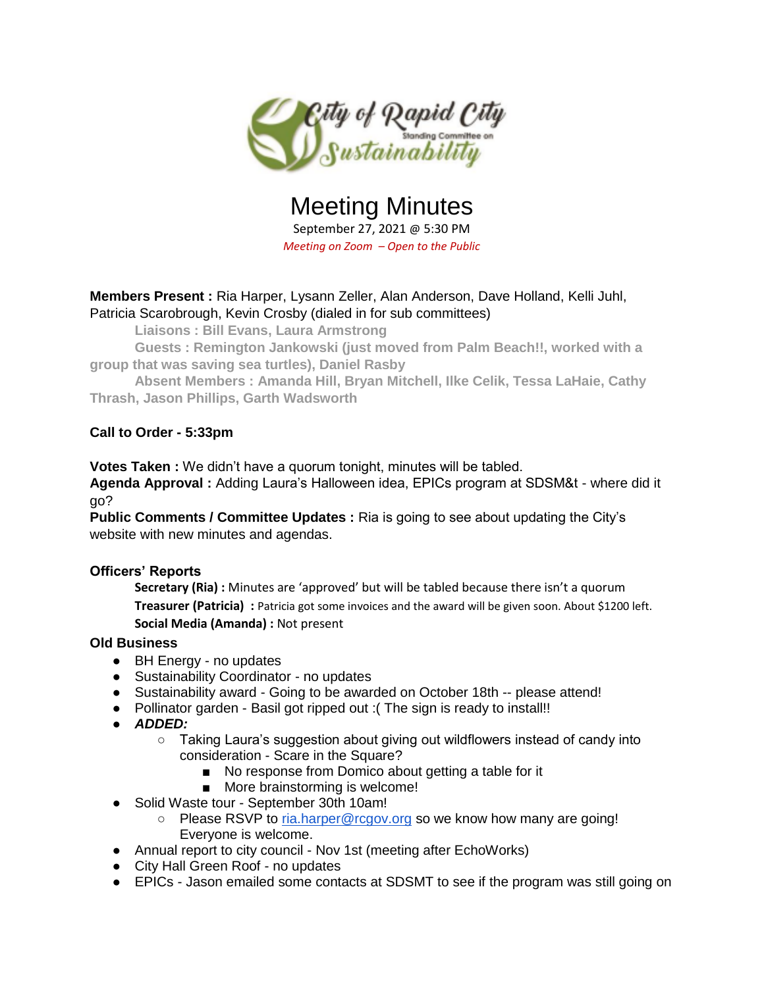

# Meeting Minutes

September 27, 2021 @ 5:30 PM *Meeting on Zoom – Open to the Public*

## **Members Present :** Ria Harper, Lysann Zeller, Alan Anderson, Dave Holland, Kelli Juhl, Patricia Scarobrough, Kevin Crosby (dialed in for sub committees)

**Liaisons : Bill Evans, Laura Armstrong** 

**Guests : Remington Jankowski (just moved from Palm Beach!!, worked with a group that was saving sea turtles), Daniel Rasby**

**Absent Members : Amanda Hill, Bryan Mitchell, Ilke Celik, Tessa LaHaie, Cathy Thrash, Jason Phillips, Garth Wadsworth**

## **Call to Order - 5:33pm**

**Votes Taken :** We didn't have a quorum tonight, minutes will be tabled.

**Agenda Approval :** Adding Laura's Halloween idea, EPICs program at SDSM&t - where did it go?

**Public Comments / Committee Updates :** Ria is going to see about updating the City's website with new minutes and agendas.

## **Officers' Reports**

**Secretary (Ria) :** Minutes are 'approved' but will be tabled because there isn't a quorum **Treasurer (Patricia) :** Patricia got some invoices and the award will be given soon. About \$1200 left. **Social Media (Amanda) :** Not present

## **Old Business**

- BH Energy no updates
- Sustainability Coordinator no updates
- Sustainability award Going to be awarded on October 18th -- please attend!
- Pollinator garden Basil got ripped out : (The sign is ready to install!!
- *ADDED:*
	- Taking Laura's suggestion about giving out wildflowers instead of candy into consideration - Scare in the Square?
		- No response from Domico about getting a table for it
		- More brainstorming is welcome!
- Solid Waste tour September 30th 10am!
	- Please RSVP to [ria.harper@rcgov.org](mailto:ria.harper@rcgov.org) so we know how many are going! Everyone is welcome.
- Annual report to city council Nov 1st (meeting after EchoWorks)
- City Hall Green Roof no updates
- EPICs Jason emailed some contacts at SDSMT to see if the program was still going on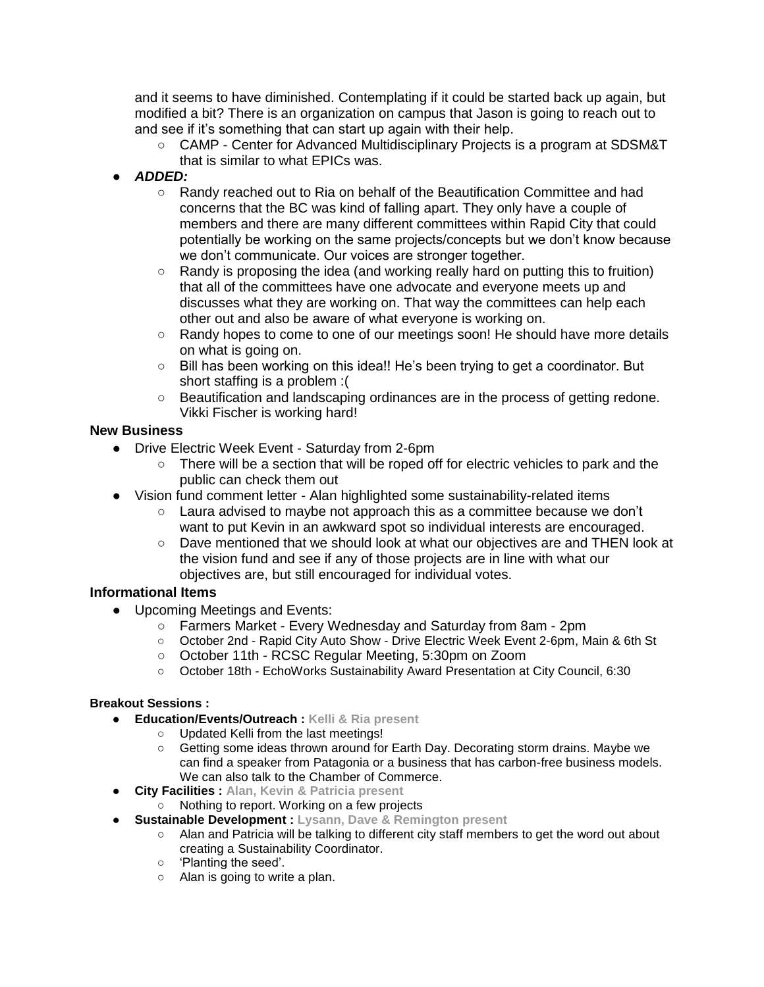and it seems to have diminished. Contemplating if it could be started back up again, but modified a bit? There is an organization on campus that Jason is going to reach out to and see if it's something that can start up again with their help.

- CAMP Center for Advanced Multidisciplinary Projects is a program at SDSM&T that is similar to what EPICs was.
- *ADDED:* 
	- Randy reached out to Ria on behalf of the Beautification Committee and had concerns that the BC was kind of falling apart. They only have a couple of members and there are many different committees within Rapid City that could potentially be working on the same projects/concepts but we don't know because we don't communicate. Our voices are stronger together.
	- $\circ$  Randy is proposing the idea (and working really hard on putting this to fruition) that all of the committees have one advocate and everyone meets up and discusses what they are working on. That way the committees can help each other out and also be aware of what everyone is working on.
	- Randy hopes to come to one of our meetings soon! He should have more details on what is going on.
	- Bill has been working on this idea!! He's been trying to get a coordinator. But short staffing is a problem :(
	- Beautification and landscaping ordinances are in the process of getting redone. Vikki Fischer is working hard!

#### **New Business**

- Drive Electric Week Event Saturday from 2-6pm
	- There will be a section that will be roped off for electric vehicles to park and the public can check them out
- Vision fund comment letter Alan highlighted some sustainability-related items
	- $\circ$  Laura advised to maybe not approach this as a committee because we don't want to put Kevin in an awkward spot so individual interests are encouraged.
	- Dave mentioned that we should look at what our objectives are and THEN look at the vision fund and see if any of those projects are in line with what our objectives are, but still encouraged for individual votes.

## **Informational Items**

- Upcoming Meetings and Events:
	- Farmers Market Every Wednesday and Saturday from 8am 2pm
	- October 2nd Rapid City Auto Show Drive Electric Week Event 2-6pm, Main & 6th St
	- October 11th RCSC Regular Meeting, 5:30pm on Zoom
	- October 18th EchoWorks Sustainability Award Presentation at City Council, 6:30

#### **Breakout Sessions :**

- **Education/Events/Outreach : Kelli & Ria present**
	- Updated Kelli from the last meetings!
	- Getting some ideas thrown around for Earth Day. Decorating storm drains. Maybe we can find a speaker from Patagonia or a business that has carbon-free business models. We can also talk to the Chamber of Commerce.
- **City Facilities : Alan, Kevin & Patricia present** 
	- Nothing to report. Working on a few projects
	- **Sustainable Development : Lysann, Dave & Remington present** 
		- Alan and Patricia will be talking to different city staff members to get the word out about creating a Sustainability Coordinator.
		- 'Planting the seed'.
		- Alan is going to write a plan.